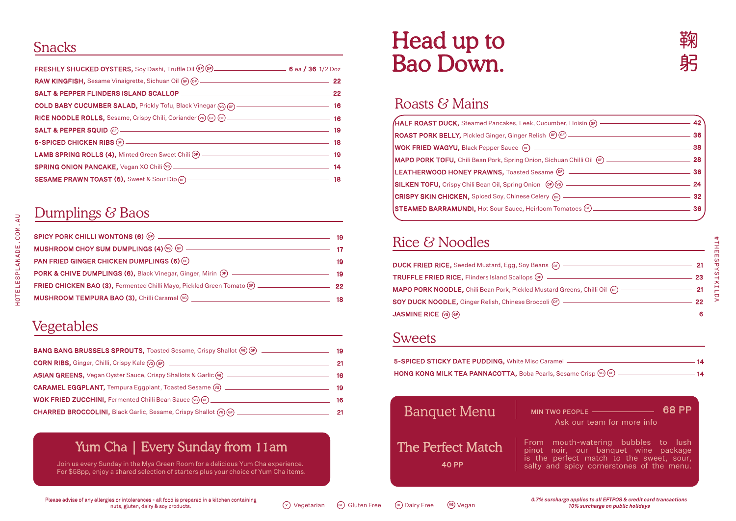## Snacks

| FRESHLY SHUCKED OYSTERS, Soy Dashi, Truffle Oil (er) (e.g. manuscription of ea. / 36 1/2 Doz |  |
|----------------------------------------------------------------------------------------------|--|
|                                                                                              |  |
| SALT & PEPPER FLINDERS ISLAND SCALLOP ——————————————————————————— 22                         |  |
|                                                                                              |  |
|                                                                                              |  |
|                                                                                              |  |
|                                                                                              |  |
|                                                                                              |  |
|                                                                                              |  |
| SESAME PRAWN TOAST (6), Sweet & Sour Dip (ap) ———————————————————————————18                  |  |

## Dumplings & Baos

|                                                                                                                 | 19  |
|-----------------------------------------------------------------------------------------------------------------|-----|
|                                                                                                                 |     |
| PAN FRIED GINGER CHICKEN DUMPLINGS (6) OF THE CHINA CHINA CHINA CHINA CHINA CHINA CHINA CHINA CHINA CHINA CHINA | 19  |
| PORK & CHIVE DUMPLINGS (6), Black Vinegar, Ginger, Mirin (oF) ___________________                               | -19 |
|                                                                                                                 |     |
|                                                                                                                 | 18  |

## Vegetables

HOTELESPLANADE.COM.AU

HOTELESPLANADE.COM.AU

| <b>BANG BANG BRUSSELS SPROUTS, Toasted Sesame, Crispy Shallot (VG) CF)</b>        | 19 |
|-----------------------------------------------------------------------------------|----|
| CORN RIBS, Ginger, Chilli, Crispy Kale (@) (ap) _________________________________ | 21 |
| ASIAN GREENS, Vegan Oyster Sauce, Crispy Shallots & Garlic (%) __________________ | 16 |
| CARAMEL EGGPLANT, Tempura Eggplant, Toasted Sesame (6) _________________________  | 19 |
| WOK FRIED ZUCCHINI, Fermented Chilli Bean Sauce (ve) (eF) _______________________ | 16 |
|                                                                                   | 21 |

### Yum Cha | Every Sunday from 11am

Join us every Sunday in the Mya Green Room for a delicious Yum Cha experience. For \$58pp, enjoy a shared selection of starters plus your choice of Yum Cha items.

# Head up to Bao Down.

## Roasts & Mains

| (HALF ROAST DUCK, Steamed Pancakes, Leek, Cucumber, Hoisin (GF) —                 |     |
|-----------------------------------------------------------------------------------|-----|
| ROAST PORK BELLY, Pickled Ginger, Ginger Relish (CF) (CF) __                      | 36  |
| <b>WOK FRIED WAGYU, Black Pepper Sauce (DF)</b> _______                           | 38  |
| <b>MAPO PORK TOFU,</b> Chili Bean Pork, Spring Onion, Sichuan Chilli Oil (aF) ___ | 28  |
| LEATHERWOOD HONEY PRAWNS, Toasted Sesame OF _________                             | 36  |
| SILKEN TOFU, Crispy Chili Bean Oil, Spring Onion (or) (6) _______                 |     |
| CRISPY SKIN CHICKEN, Spiced Soy, Chinese Celery (oF) —                            | 32  |
| STEAMED BARRAMUNDI, Hot Sour Sauce, Heirloom Tomatoes GF -                        | 36. |
|                                                                                   |     |

# Rice & Noodles

| <b>DUCK FRIED RICE, Seeded Mustard, Egg, Soy Beans (of)</b> ——                                                                                                                                                                                                                                                                                      |     |
|-----------------------------------------------------------------------------------------------------------------------------------------------------------------------------------------------------------------------------------------------------------------------------------------------------------------------------------------------------|-----|
| TRUFFLE FRIED RICE, Flinders Island Scallops (of) ______________________________                                                                                                                                                                                                                                                                    | -23 |
| <b>MAPO PORK NOODLE, Chili Bean Pork, Pickled Mustard Greens, Chilli Oil (B)</b> —————————                                                                                                                                                                                                                                                          |     |
|                                                                                                                                                                                                                                                                                                                                                     |     |
| $\begin{picture}(180,10) \put(0,0){\line(1,0){10}} \put(15,0){\line(1,0){10}} \put(15,0){\line(1,0){10}} \put(15,0){\line(1,0){10}} \put(15,0){\line(1,0){10}} \put(15,0){\line(1,0){10}} \put(15,0){\line(1,0){10}} \put(15,0){\line(1,0){10}} \put(15,0){\line(1,0){10}} \put(15,0){\line(1,0){10}} \put(15,0){\line(1,0){10}} \put(15,0){\line($ |     |

#### Sweets

| 5-SPICED STICKY DATE PUDDING, White Miso Caramel _____              | 14. |
|---------------------------------------------------------------------|-----|
| HONG KONG MILK TEA PANNACOTTA, Boba Pearls, Sesame Crisp (6) (GF) — | 14  |

| <b>Banquet Menu</b>               | MIN TWO PEOPLE<br>Ask our team for more info                                                                                                                         |
|-----------------------------------|----------------------------------------------------------------------------------------------------------------------------------------------------------------------|
| The Perfect Match<br><b>40 PP</b> | From mouth-watering bubbles to lush<br>pinot noir, our banquet wine package<br>is the perfect match to the sweet, sour,<br>salty and spicy cornerstones of the menu. |

Please advise of any allergies or intolerances - all food is prepared in a kitchen containing nuts, gluten, dairy & soy products.

**v)** Vegetarian (GF) Gluten Free (DF) Dairy Free (VG) Vegan

**0.7% surcharge applies to all EFTPOS & credit card transactions 10% surcharge on public holidays**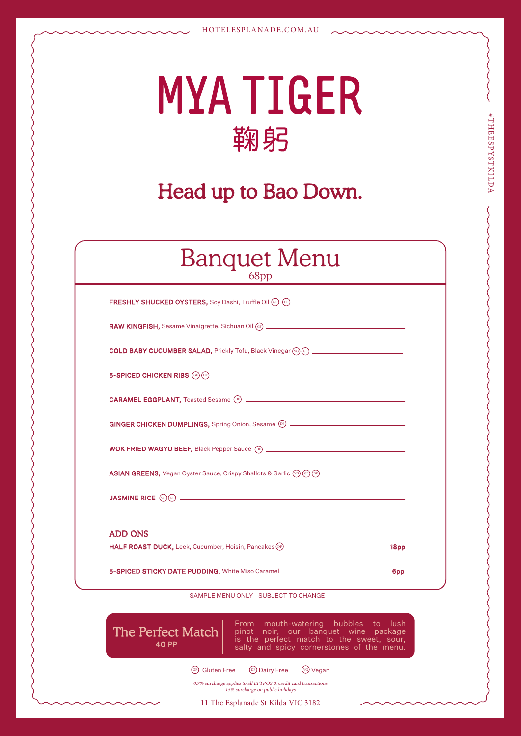# **MYATIGER** 鞠躬

#THEESPYSTKILDA

#THEESPYSTKILDA

# Head up to Bao Down.

| <b>Banquet Menu</b><br>68pp                                                                                                                                                                                                          |  |
|--------------------------------------------------------------------------------------------------------------------------------------------------------------------------------------------------------------------------------------|--|
|                                                                                                                                                                                                                                      |  |
| RAW KINGFISH, Sesame Vinaigrette, Sichuan Oil (cF) _____________________________                                                                                                                                                     |  |
| <b>COLD BABY CUCUMBER SALAD, Prickly Tofu, Black Vinegar (%) (66)</b> ______________________                                                                                                                                         |  |
| 5-SPICED CHICKEN RIBS (GF) <b>DESCRIPTION OF A SET AND RELEASE OF A SET AND RELEASE OF A SET AND RELEASE OF A SET AND RELEASE OF A SET AND RELEASE OF A SET AND RELEASE OF A SET AND RELEASE OF A SET AND RELEASE OF A SET AND R</b> |  |
|                                                                                                                                                                                                                                      |  |
| GINGER CHICKEN DUMPLINGS, Spring Onion, Sesame (DF) ____________________________                                                                                                                                                     |  |
| <b>WOK FRIED WAGYU BEEF, Black Pepper Sauce (DF)</b> __________________________________                                                                                                                                              |  |
| ASIAN GREENS, Vegan Oyster Sauce, Crispy Shallots & Garlic (vg) (a) (a) ____________________________                                                                                                                                 |  |
|                                                                                                                                                                                                                                      |  |
| <b>ADD ONS</b>                                                                                                                                                                                                                       |  |
| HALF ROAST DUCK, Leek, Cucumber, Hoisin, Pancakes (DF) - The Contract of the Map 18pp                                                                                                                                                |  |
| 5-SPICED STICKY DATE PUDDING, White Miso Caramel - <b>CONSIDENT AND SHIPS AND SET OF A SHIPS</b>                                                                                                                                     |  |
| SAMPLE MENU ONLY - SUBJECT TO CHANGE                                                                                                                                                                                                 |  |
| From mouth-watering bubbles to lush<br><b>The Perfect Match</b><br>pinot noir, our banquet wine package<br>is the perfect match to the sweet, sour,<br>40 PF<br>salty and spicy cornerstones of the menu.                            |  |

GF) Gluten Free DF Dairy Free VG Vegan

0.7% surcharge applies to all EFTPOS & credit card transactions 15% surcharge on public holidays

11 The Esplanade St Kilda VIC 3182